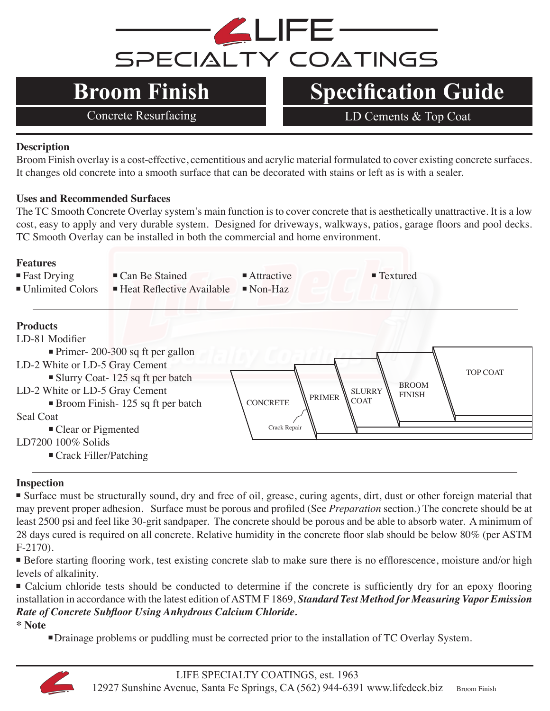

## **Broom Finish Specification Guide**

Concrete Resurfacing LD Cements & Top Coat

### **Description**

Broom Finish overlay is a cost-effective, cementitious and acrylic material formulated to cover existing concrete surfaces. It changes old concrete into a smooth surface that can be decorated with stains or left as is with a sealer.

### **Uses and Recommended Surfaces**

The TC Smooth Concrete Overlay system's main function is to cover concrete that is aesthetically unattractive. It is a low cost, easy to apply and very durable system. Designed for driveways, walkways, patios, garage floors and pool decks. TC Smooth Overlay can be installed in both the commercial and home environment.

### **Features**

• Fast Drying • Can Be Stained • Attractive • Textured

- 
- 
- 
- $\blacksquare$  Unlimited Colors  $\blacksquare$  Heat Reflective Available  $\blacksquare$  Non-Haz

### **Products**



### **Inspection**

■ Surface must be structurally sound, dry and free of oil, grease, curing agents, dirt, dust or other foreign material that may prevent proper adhesion. Surface must be porous and profiled (See *Preparation* section.) The concrete should be at least 2500 psi and feel like 30-grit sandpaper. The concrete should be porous and be able to absorb water. A minimum of 28 days cured is required on all concrete. Relative humidity in the concrete floor slab should be below 80% (per ASTM F-2170).

■ Before starting flooring work, test existing concrete slab to make sure there is no efflorescence, moisture and/or high levels of alkalinity.

■ Calcium chloride tests should be conducted to determine if the concrete is sufficiently dry for an epoxy flooring installation in accordance with the latest edition of ASTM F 1869, *Standard Test Method for Measuring Vapor Emission Rate of Concrete Subfloor Using Anhydrous Calcium Chloride.* 

**\* Note**

<sup>n</sup>Drainage problems or puddling must be corrected prior to the installation of TC Overlay System.

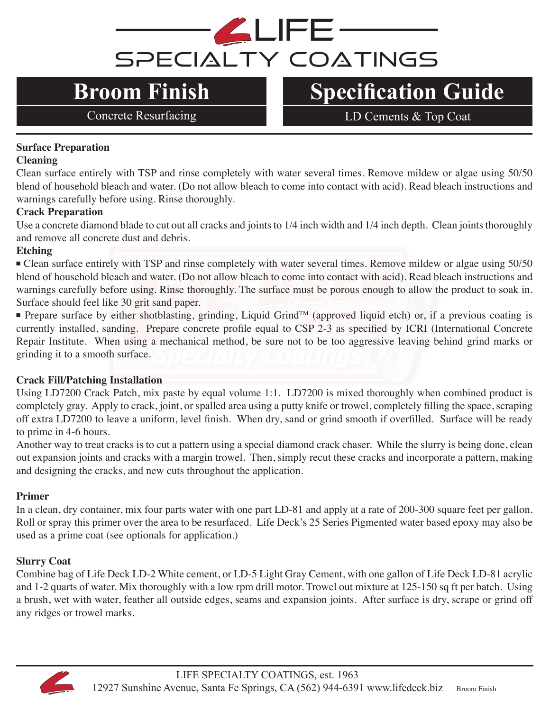# **ALIFE** SPECIALTY COATINGS

## **Broom Finish Specification Guide**

Concrete Resurfacing LD Cements & Top Coat

### **Surface Preparation**

### **Cleaning**

Clean surface entirely with TSP and rinse completely with water several times. Remove mildew or algae using 50/50 blend of household bleach and water. (Do not allow bleach to come into contact with acid). Read bleach instructions and warnings carefully before using. Rinse thoroughly.

### **Crack Preparation**

Use a concrete diamond blade to cut out all cracks and joints to 1/4 inch width and 1/4 inch depth. Clean joints thoroughly and remove all concrete dust and debris.

### **Etching**

• Clean surface entirely with TSP and rinse completely with water several times. Remove mildew or algae using 50/50 blend of household bleach and water. (Do not allow bleach to come into contact with acid). Read bleach instructions and warnings carefully before using. Rinse thoroughly. The surface must be porous enough to allow the product to soak in. Surface should feel like 30 grit sand paper.

■ Prepare surface by either shotblasting, grinding, Liquid Grind™ (approved liquid etch) or, if a previous coating is currently installed, sanding. Prepare concrete profile equal to CSP 2-3 as specified by ICRI (International Concrete Repair Institute. When using a mechanical method, be sure not to be too aggressive leaving behind grind marks or grinding it to a smooth surface.

### **Crack Fill/Patching Installation**

Using LD7200 Crack Patch, mix paste by equal volume 1:1. LD7200 is mixed thoroughly when combined product is completely gray. Apply to crack, joint, or spalled area using a putty knife or trowel, completely filling the space, scraping off extra LD7200 to leave a uniform, level finish. When dry, sand or grind smooth if overfilled. Surface will be ready to prime in 4-6 hours.

Another way to treat cracks is to cut a pattern using a special diamond crack chaser. While the slurry is being done, clean out expansion joints and cracks with a margin trowel. Then, simply recut these cracks and incorporate a pattern, making and designing the cracks, and new cuts throughout the application.

### **Primer**

In a clean, dry container, mix four parts water with one part LD-81 and apply at a rate of 200-300 square feet per gallon. Roll or spray this primer over the area to be resurfaced. Life Deck's 25 Series Pigmented water based epoxy may also be used as a prime coat (see optionals for application.)

### **Slurry Coat**

Combine bag of Life Deck LD-2 White cement, or LD-5 Light Gray Cement, with one gallon of Life Deck LD-81 acrylic and 1-2 quarts of water. Mix thoroughly with a low rpm drill motor. Trowel out mixture at 125-150 sq ft per batch. Using a brush, wet with water, feather all outside edges, seams and expansion joints. After surface is dry, scrape or grind off any ridges or trowel marks.

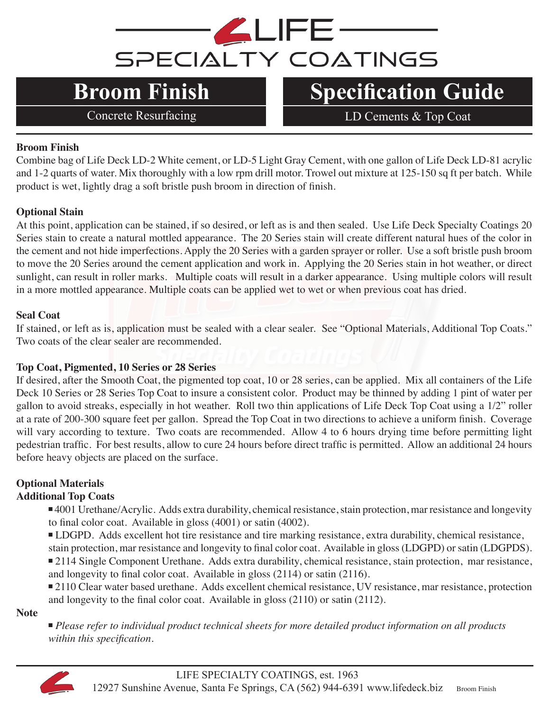

## **Broom Finish Specification Guide**

Concrete Resurfacing LD Cements & Top Coat

### **Broom Finish**

Combine bag of Life Deck LD-2 White cement, or LD-5 Light Gray Cement, with one gallon of Life Deck LD-81 acrylic and 1-2 quarts of water. Mix thoroughly with a low rpm drill motor. Trowel out mixture at 125-150 sq ft per batch. While product is wet, lightly drag a soft bristle push broom in direction of finish.

### **Optional Stain**

At this point, application can be stained, if so desired, or left as is and then sealed. Use Life Deck Specialty Coatings 20 Series stain to create a natural mottled appearance. The 20 Series stain will create different natural hues of the color in the cement and not hide imperfections. Apply the 20 Series with a garden sprayer or roller. Use a soft bristle push broom to move the 20 Series around the cement application and work in. Applying the 20 Series stain in hot weather, or direct sunlight, can result in roller marks. Multiple coats will result in a darker appearance. Using multiple colors will result in a more mottled appearance. Multiple coats can be applied wet to wet or when previous coat has dried.

### **Seal Coat**

If stained, or left as is, application must be sealed with a clear sealer. See "Optional Materials, Additional Top Coats." Two coats of the clear sealer are recommended.

### **Top Coat, Pigmented, 10 Series or 28 Series**

If desired, after the Smooth Coat, the pigmented top coat, 10 or 28 series, can be applied. Mix all containers of the Life Deck 10 Series or 28 Series Top Coat to insure a consistent color. Product may be thinned by adding 1 pint of water per gallon to avoid streaks, especially in hot weather. Roll two thin applications of Life Deck Top Coat using a 1/2" roller at a rate of 200-300 square feet per gallon. Spread the Top Coat in two directions to achieve a uniform finish. Coverage will vary according to texture. Two coats are recommended. Allow 4 to 6 hours drying time before permitting light pedestrian traffic. For best results, allow to cure 24 hours before direct traffic is permitted. Allow an additional 24 hours before heavy objects are placed on the surface.

### **Optional Materials**

### **Additional Top Coats**

<sup>n</sup> 4001 Urethane/Acrylic. Adds extra durability, chemical resistance, stain protection, mar resistance and longevity to final color coat. Available in gloss (4001) or satin (4002).

<sup>n</sup> LDGPD. Adds excellent hot tire resistance and tire marking resistance, extra durability, chemical resistance, stain protection, mar resistance and longevity to final color coat. Available in gloss (LDGPD) or satin (LDGPDS).

<sup>n</sup> 2114 Single Component Urethane. Adds extra durability, chemical resistance, stain protection, mar resistance, and longevity to final color coat. Available in gloss (2114) or satin (2116).

■ 2110 Clear water based urethane. Adds excellent chemical resistance, UV resistance, mar resistance, protection and longevity to the final color coat. Available in gloss (2110) or satin (2112).

**Note**

<sup>n</sup> *Please refer to individual product technical sheets for more detailed product information on all products within this specification.*